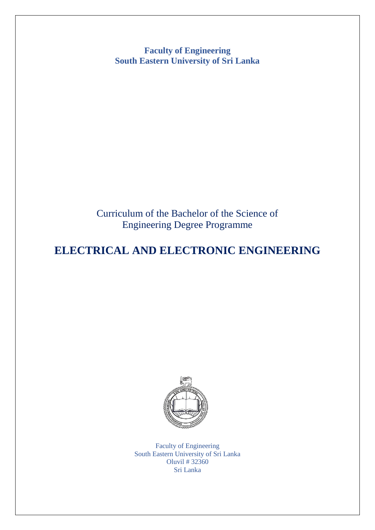**Faculty of Engineering South Eastern University of Sri Lanka**

Curriculum of the Bachelor of the Science of Engineering Degree Programme

# **ELECTRICAL AND ELECTRONIC ENGINEERING**



Faculty of Engineering South Eastern University of Sri Lanka Oluvil # 32360 Sri Lanka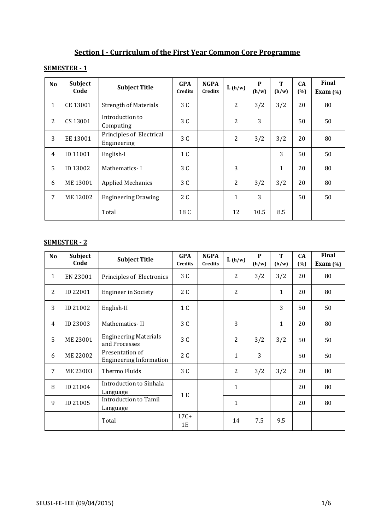| Section I - Curriculum of the First Year Common Core Programme |
|----------------------------------------------------------------|
|----------------------------------------------------------------|

## **SEMESTER - 1**

| <b>No</b>      | Subject<br>Code | <b>Subject Title</b>                    | <b>GPA</b><br><b>Credits</b> | <b>NGPA</b><br><b>Credits</b> | L(h/w)         | P<br>(h/w) | T<br>(h/w) | <b>CA</b><br>(%) | <b>Final</b><br>Exam $(\%)$ |
|----------------|-----------------|-----------------------------------------|------------------------------|-------------------------------|----------------|------------|------------|------------------|-----------------------------|
| $\mathbf{1}$   | CE 13001        | <b>Strength of Materials</b>            | 3 C                          |                               | $\overline{2}$ | 3/2        | 3/2        | 20               | 80                          |
| $\overline{2}$ | CS 13001        | Introduction to<br>Computing            | 3 C                          |                               | $\overline{2}$ | 3          |            | 50               | 50                          |
| 3              | EE 13001        | Principles of Electrical<br>Engineering | 3 C                          |                               | $\overline{2}$ | 3/2        | 3/2        | 20               | 80                          |
| $\overline{4}$ | ID 11001        | English-I                               | 1 C                          |                               |                |            | 3          | 50               | 50                          |
| 5              | ID 13002        | Mathematics-I                           | 3 C                          |                               | 3              |            | 1          | 20               | 80                          |
| 6              | ME 13001        | <b>Applied Mechanics</b>                | 3 C                          |                               | $\overline{2}$ | 3/2        | 3/2        | 20               | 80                          |
| 7              | ME 12002        | <b>Engineering Drawing</b>              | 2 C                          |                               | $\mathbf{1}$   | 3          |            | 50               | 50                          |
|                |                 | Total                                   | 18 C                         |                               | 12             | 10.5       | 8.5        |                  |                             |

### **SEMESTER - 2**

| N <sub>o</sub> | Subject<br>Code | <b>Subject Title</b>                              | <b>GPA</b><br><b>Credits</b> | <b>NGPA</b><br><b>Credits</b> | L(h/w)         | P<br>(h/w) | T<br>(h/w) | CA<br>(%) | Final<br>Exam $(\%)$ |
|----------------|-----------------|---------------------------------------------------|------------------------------|-------------------------------|----------------|------------|------------|-----------|----------------------|
| 1              | EN 23001        | Principles of Electronics                         | 3 C                          |                               | $\overline{2}$ | 3/2        | 3/2        | 20        | 80                   |
| $\overline{2}$ | ID 22001        | <b>Engineer in Society</b>                        | 2 C                          |                               | $\overline{2}$ |            | 1          | 20        | 80                   |
| 3              | ID 21002        | English-II                                        | 1 C                          |                               |                |            | 3          | 50        | 50                   |
| $\overline{4}$ | ID 23003        | Mathematics-II                                    | 3 C                          |                               | 3              |            | 1          | 20        | 80                   |
| 5              | ME 23001        | <b>Engineering Materials</b><br>and Processes     | 3 C                          |                               | $\overline{2}$ | 3/2        | 3/2        | 50        | 50                   |
| 6              | ME 22002        | Presentation of<br><b>Engineering Information</b> | 2 C                          |                               | $\mathbf{1}$   | 3          |            | 50        | 50                   |
| 7              | ME 23003        | Thermo Fluids                                     | 3 C                          |                               | $\overline{2}$ | 3/2        | 3/2        | 20        | 80                   |
| 8              | ID 21004        | Introduction to Sinhala<br>Language               | 1 E                          |                               | $\mathbf{1}$   |            |            | 20        | 80                   |
| 9              | ID 21005        | Introduction to Tamil<br>Language                 |                              |                               | $\mathbf{1}$   |            |            | 20        | 80                   |
|                |                 | Total                                             | $17C+$<br>1E                 |                               | 14             | 7.5        | 9.5        |           |                      |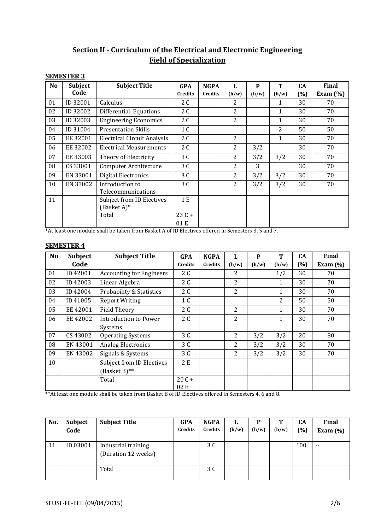# **Section II - Curriculum of the Electrical and Electronic Engineering Field of Specialization**

#### **SEMESTER 3**

| N <sub>o</sub> | Subject  | <b>Subject Title</b>                     | <b>GPA</b>     | <b>NGPA</b>    | L              | P     | T              | <b>CA</b> | Final        |
|----------------|----------|------------------------------------------|----------------|----------------|----------------|-------|----------------|-----------|--------------|
|                | Code     |                                          | <b>Credits</b> | <b>Credits</b> | (h/w)          | (h/w) | (h/w)          | (%)       | Exam $(\% )$ |
| 01             | ID 32001 | Calculus                                 | 2C             |                | 2              |       | 1              | 30        | 70           |
| 02             | ID 32002 | Differential Equations                   | 2C             |                | 2              |       | $\mathbf{1}$   | 30        | 70           |
| 03             | ID 32003 | <b>Engineering Economics</b>             | 2 C            |                | 2              |       | $\mathbf{1}$   | 30        | 70           |
| 04             | ID 31004 | <b>Presentation Skills</b>               | 1 C            |                |                |       | $\overline{2}$ | 50        | 50           |
| 05             | EE 32001 | <b>Electrical Circuit Analysis</b>       | 2C             |                | 2              |       | $\mathbf{1}$   | 30        | 70           |
| 06             | EE 32002 | <b>Electrical Measurements</b>           | 2 C            |                | $\overline{2}$ | 3/2   |                | 30        | 70           |
| 07             | EE 33003 | Theory of Electricity                    | 3 C            |                | 2              | 3/2   | 3/2            | 30        | 70           |
| 08             | CS 33001 | Computer Architecture                    | 3 C            |                | 2              | 3     |                | 30        | 70           |
| 09             | EN 33001 | Digital Electronics                      | 3 C            |                | 2              | 3/2   | 3/2            | 30        | 70           |
| 10             | EN 33002 | Introduction to<br>Telecommunications    | 3C             |                | 2              | 3/2   | 3/2            | 30        | 70           |
| 11             |          | Subject from ID Electives<br>(Basket A)* | 1E             |                |                |       |                |           |              |
|                |          | Total                                    | $23C +$        |                |                |       |                |           |              |
| $\cdots$       |          |                                          | 01 E           |                |                | $ -$  |                |           |              |

\*At least one module shall be taken from Basket A of ID Electives offered in Semesters 3, 5 and 7.

| <b>SEMESTER 4</b> |  |
|-------------------|--|
|                   |  |

| <b>No</b> | <b>Subject</b> | <b>Subject Title</b>             | <b>GPA</b>     | <b>NGPA</b> | L              | P     | T            | <b>CA</b> | <b>Final</b> |
|-----------|----------------|----------------------------------|----------------|-------------|----------------|-------|--------------|-----------|--------------|
|           | Code           |                                  | <b>Credits</b> | Credits     | (h/w)          | (h/w) | (h/w)        | $(\%)$    | Exam $(\% )$ |
| 01        | ID 42001       | <b>Accounting for Engineers</b>  | 2 C            |             | 2              |       | 1/2          | 30        | 70           |
| 02        | ID 42003       | Linear Algebra                   | 2 C            |             | $\overline{2}$ |       | 1            | 30        | 70           |
| 03        | ID 42004       | Probability & Statistics         | 2 C            |             | $\overline{2}$ |       | $\mathbf{1}$ | 30        | 70           |
| 04        | ID 41005       | <b>Report Writing</b>            | 1 C            |             |                |       | 2            | 50        | 50           |
| 05        | EE 42001       | <b>Field Theory</b>              | 2 C            |             | 2              |       | $\mathbf{1}$ | 30        | 70           |
| 06        | EE 42002       | <b>Introduction to Power</b>     | 2 C            |             | 2              |       | $\mathbf{1}$ | 30        | 70           |
|           |                | <b>Systems</b>                   |                |             |                |       |              |           |              |
| 07        | CS 43002       | <b>Operating Systems</b>         | 3 C            |             | 2              | 3/2   | 3/2          | 20        | 80           |
| 08        | EN 43001       | <b>Analog Electronics</b>        | 3 C            |             | 2              | 3/2   | 3/2          | 30        | 70           |
| 09        | EN 43002       | Signals & Systems                | 3 C            |             | 2              | 3/2   | 3/2          | 30        | 70           |
| 10        |                | <b>Subject from ID Electives</b> | 2 E            |             |                |       |              |           |              |
|           |                | (Basket B)**                     |                |             |                |       |              |           |              |
|           |                | Total                            | $20C +$        |             |                |       |              |           |              |
|           |                |                                  | 02 E           |             |                |       |              |           |              |

\*\*At least one module shall be taken from Basket B of ID Electives offered in Semesters 4, 6 and 8.

| No. | <b>Subject</b><br>Code | <b>Subject Title</b>                       | <b>GPA</b><br><b>Credits</b> | <b>NGPA</b><br>Credits | L<br>(h/w) | P<br>(h/w) | т<br>(h/w) | <b>CA</b><br>$(\% )$ | Final<br>Exam $(\%)$ |
|-----|------------------------|--------------------------------------------|------------------------------|------------------------|------------|------------|------------|----------------------|----------------------|
| 11  | ID 03001               | Industrial training<br>(Duration 12 weeks) |                              | 3 C                    |            |            |            | 100                  | $- -$                |
|     |                        | Total                                      |                              | 3 C                    |            |            |            |                      |                      |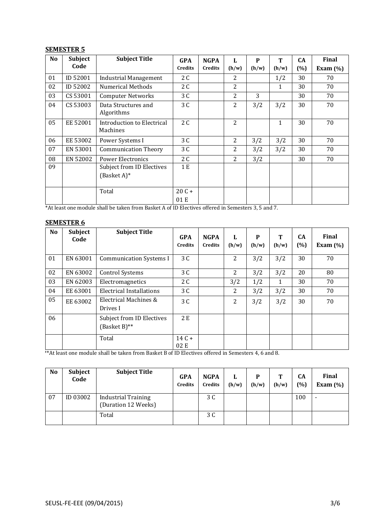#### **SEMESTER 5**

| N <sub>o</sub> | <b>Subject</b> | <b>Subject Title</b>                   | <b>GPA</b>     | <b>NGPA</b>    | L              | P     | T            | <b>CA</b> | <b>Final</b> |
|----------------|----------------|----------------------------------------|----------------|----------------|----------------|-------|--------------|-----------|--------------|
|                | Code           |                                        | <b>Credits</b> | <b>Credits</b> | (h/w)          | (h/w) | (h/w)        | (%)       | Exam $(\% )$ |
| 01             | ID 52001       | <b>Industrial Management</b>           | 2 C            |                | 2              |       | 1/2          | 30        | 70           |
| 02             | ID 52002       | <b>Numerical Methods</b>               | 2 C            |                | 2              |       | 1            | 30        | 70           |
| 03             | CS 53001       | <b>Computer Networks</b>               | 3 C            |                | $\overline{c}$ | 3     |              | 30        | 70           |
| 04             | CS 53003       | Data Structures and<br>Algorithms      | 3 C            |                | 2              | 3/2   | 3/2          | 30        | 70           |
| 05             | EE 52001       | Introduction to Electrical<br>Machines | 2C             |                | $\overline{2}$ |       | $\mathbf{1}$ | 30        | 70           |
| 06             | EE 53002       | Power Systems I                        | 3 C            |                | 2              | 3/2   | 3/2          | 30        | 70           |
| 07             | EN 53001       | <b>Communication Theory</b>            | 3 C            |                | 2              | 3/2   | 3/2          | 30        | 70           |
| 08             | EN 52002       | <b>Power Electronics</b>               | 2 C            |                | 2              | 3/2   |              | 30        | 70           |
| 09             |                | Subject from ID Electives              | 1E             |                |                |       |              |           |              |
|                |                | (Basket A)*                            |                |                |                |       |              |           |              |
|                |                | Total                                  | $20C +$        |                |                |       |              |           |              |
|                |                |                                        | 01 E           |                |                |       |              |           |              |

\*At least one module shall be taken from Basket A of ID Electives offered in Semesters 3, 5 and 7.

#### **SEMESTER 6**

| N <sub>o</sub> | Subject<br>Code | <b>Subject Title</b>                         | <b>GPA</b><br><b>Credits</b> | <b>NGPA</b><br><b>Credits</b> | L<br>(h/w)     | P<br>(h/w) | Т<br>(h/w) | <b>CA</b><br>(%) | <b>Final</b><br>Exam $(\%)$ |
|----------------|-----------------|----------------------------------------------|------------------------------|-------------------------------|----------------|------------|------------|------------------|-----------------------------|
| 01             | EN 63001        | <b>Communication Systems I</b>               | 3 C                          |                               | $\overline{2}$ | 3/2        | 3/2        | 30               | 70                          |
| 02             | EN 63002        | <b>Control Systems</b>                       | 3 C                          |                               | 2              | 3/2        | 3/2        | 20               | 80                          |
| 03             | EN 62003        | Electromagnetics                             | 2 C                          |                               | 3/2            | 1/2        | 1          | 30               | 70                          |
| 04             | EE 63001        | <b>Electrical Installations</b>              | 3 C                          |                               | 2              | 3/2        | 3/2        | 30               | 70                          |
| 05             | EE 63002        | Electrical Machines &<br>Drives I            | 3 C                          |                               | 2              | 3/2        | 3/2        | 30               | 70                          |
| 06             |                 | Subject from ID Electives<br>$(Basket B)$ ** | 2 E                          |                               |                |            |            |                  |                             |
|                |                 | Total                                        | $14C +$<br>02E               |                               |                |            |            |                  |                             |

\*\* At least one module shall be taken from Basket B of ID Electives offered in Semesters 4, 6 and 8.

| No | <b>Subject</b><br>Code | <b>Subject Title</b>                              | <b>GPA</b><br>Credits | <b>NGPA</b><br><b>Credits</b> | L<br>(h/w) | P<br>(h/w) | T<br>(h/w) | <b>CA</b><br>(%) | <b>Final</b><br>Exam $(\% )$ |
|----|------------------------|---------------------------------------------------|-----------------------|-------------------------------|------------|------------|------------|------------------|------------------------------|
| 07 | ID 03002               | <b>Industrial Training</b><br>(Duration 12 Weeks) |                       | 3 C                           |            |            |            | 100              | $\overline{\phantom{a}}$     |
|    |                        | Total                                             |                       | 3 C                           |            |            |            |                  |                              |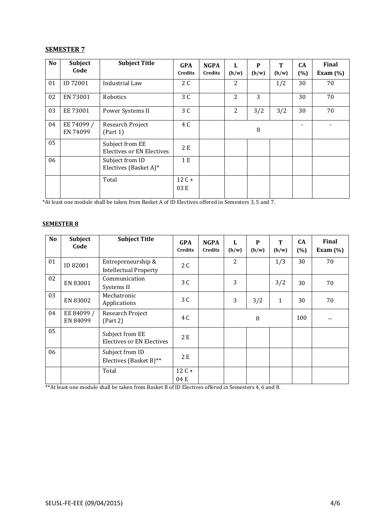#### **SEMESTER 7**

| N <sub>o</sub> | Subject<br>Code        | <b>Subject Title</b>                                | <b>GPA</b><br>Credits | <b>NGPA</b><br><b>Credits</b> | L<br>(h/w) | P<br>(h/w) | Т<br>(h/w) | <b>CA</b><br>(%) | Final<br>Exam $(\% )$ |
|----------------|------------------------|-----------------------------------------------------|-----------------------|-------------------------------|------------|------------|------------|------------------|-----------------------|
| 01             | ID 72001               | Industrial Law                                      | 2 C                   |                               | 2          |            | 1/2        | 30               | 70                    |
| 02             | EN 73001               | Robotics                                            | 3 C                   |                               | 2          | 3          |            | 30               | 70                    |
| 03             | EE 73001               | Power Systems II                                    | 3 C                   |                               | 2          | 3/2        | 3/2        | 30               | 70                    |
| 04             | EE 74099 /<br>EN 74099 | Research Project<br>(Part 1)                        | 4 C                   |                               |            | 8          |            |                  |                       |
| 05             |                        | Subject from EE<br><b>Electives or EN Electives</b> | 2E                    |                               |            |            |            |                  |                       |
| 06             |                        | Subject from ID<br>Electives (Basket A)*            | 1 E                   |                               |            |            |            |                  |                       |
|                |                        | Total                                               | $12C +$<br>03 E       |                               |            |            |            |                  |                       |

\*At least one module shall be taken from Basket A of ID Electives offered in Semesters 3, 5 and 7.

#### **SEMESTER 8**

| N <sub>o</sub> | Subject<br>Code        | <b>Subject Title</b>                                | <b>GPA</b><br><b>Credits</b> | <b>NGPA</b><br><b>Credits</b> | L<br>(h/w)     | P<br>(h/w) | T<br>(h/w)   | <b>CA</b><br>(%) | Final<br>Exam $(\%)$ |
|----------------|------------------------|-----------------------------------------------------|------------------------------|-------------------------------|----------------|------------|--------------|------------------|----------------------|
| 01             | ID 82001               | Entrepreneurship &<br><b>Intellectual Property</b>  | 2 C                          |                               | $\overline{2}$ |            | 1/3          | 30               | 70                   |
| 02             | EN 83001               | Communication<br>Systems II                         | 3 C                          |                               | 3              |            | 3/2          | 30               | 70                   |
| 03             | EN 83002               | Mechatronic<br>Applications                         | 3 C                          |                               | 3              | 3/2        | $\mathbf{1}$ | 30               | 70                   |
| 04             | EE 84099 /<br>EN 84099 | Research Project<br>(Part 2)                        | 4 C                          |                               |                | 8          |              | 100              |                      |
| 05             |                        | Subject from EE<br><b>Electives or EN Electives</b> | 2E                           |                               |                |            |              |                  |                      |
| 06             |                        | Subject from ID<br>Electives (Basket B)**           | 2 E                          |                               |                |            |              |                  |                      |
|                |                        | Total                                               | $12C +$<br>04 E              |                               |                |            |              |                  |                      |

\*\*At least one module shall be taken from Basket B of ID Electives offered in Semesters 4, 6 and 8.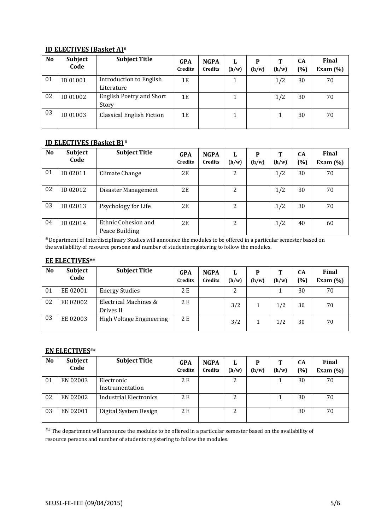#### **ID ELECTIVES (Basket A)#**

| N <sub>o</sub> | Subject<br>Code | <b>Subject Title</b>             | <b>GPA</b><br><b>Credits</b> | <b>NGPA</b><br><b>Credits</b> | L<br>(h/w) | P<br>(h/w) | т<br>(h/w) | CA<br>$(\%)$ | <b>Final</b><br>Exam $(\%)$ |
|----------------|-----------------|----------------------------------|------------------------------|-------------------------------|------------|------------|------------|--------------|-----------------------------|
| 01             | ID 01001        | Introduction to English          | 1E                           |                               |            |            | 1/2        | 30           | 70                          |
|                |                 | Literature                       |                              |                               |            |            |            |              |                             |
| 02             | ID 01002        | English Poetry and Short         | 1E                           |                               |            |            | 1/2        | 30           | 70                          |
|                |                 | Story                            |                              |                               |            |            |            |              |                             |
| 03             | ID 01003        | <b>Classical English Fiction</b> | 1E                           |                               |            |            |            | 30           | 70                          |
|                |                 |                                  |                              |                               |            |            |            |              |                             |

#### **ID ELECTIVES (Basket B) #**

| N <sub>o</sub> | Subject<br>Code | <b>Subject Title</b>                  | <b>GPA</b><br><b>Credits</b> | <b>NGPA</b><br><b>Credits</b> | L<br>(h/w) | P<br>(h/w) | Т<br>(h/w) | CА<br>(%) | <b>Final</b><br>Exam $(\%)$ |
|----------------|-----------------|---------------------------------------|------------------------------|-------------------------------|------------|------------|------------|-----------|-----------------------------|
| 01             | ID 02011        | Climate Change                        | 2E                           |                               | 2          |            | 1/2        | 30        | 70                          |
| 02             | ID 02012        | Disaster Management                   | 2E                           |                               | 2          |            | 1/2        | 30        | 70                          |
| 03             | ID 02013        | Psychology for Life                   | 2E                           |                               | 2          |            | 1/2        | 30        | 70                          |
| 04             | ID 02014        | Ethnic Cohesion and<br>Peace Building | 2E                           |                               | 2          |            | 1/2        | 40        | 60                          |

**#** Department of Interdisciplinary Studies will announce the modules to be offered in a particular semester based on the availability of resource persons and number of students registering to follow the modules.

#### **EE ELECTIVES**##

| N <sub>o</sub> | Subject<br>Code | <b>Subject Title</b>               | <b>GPA</b><br><b>Credits</b> | <b>NGPA</b><br><b>Credits</b> | L<br>(h/w) | P<br>(h/w) | T<br>(h/w) | CA<br>$\frac{10}{6}$ | <b>Final</b><br>Exam $(\% )$ |
|----------------|-----------------|------------------------------------|------------------------------|-------------------------------|------------|------------|------------|----------------------|------------------------------|
| 01             | EE 02001        | <b>Energy Studies</b>              | 2 E                          |                               |            |            |            | 30                   | 70                           |
| 02             | EE 02002        | Electrical Machines &<br>Drives II | 2 E                          |                               | 3/2        |            | 1/2        | 30                   | 70                           |
| 03             | EE 02003        | High Voltage Engineering           | 2 E                          |                               | 3/2        |            | 1/2        | 30                   | 70                           |

#### **EN ELECTIVES##**

| N <sub>o</sub> | Subject<br>Code | <b>Subject Title</b>          | <b>GPA</b><br><b>Credits</b> | <b>NGPA</b><br><b>Credits</b> | L<br>(h/w) | P<br>(h/w) | Т<br>(h/w) | CА<br>(0/0) | Final<br>Exam $(\% )$ |
|----------------|-----------------|-------------------------------|------------------------------|-------------------------------|------------|------------|------------|-------------|-----------------------|
| 01             | EN 02003        | Electronic<br>Instrumentation | 2 E                          |                               | າ          |            |            | 30          | 70                    |
| 02             | EN 02002        | Industrial Electronics        | 2 E                          |                               |            |            |            | 30          | 70                    |
| 03             | EN 02001        | Digital System Design         | 2 E                          |                               | ∠          |            |            | 30          | 70                    |

**##** The department will announce the modules to be offered in a particular semester based on the availability of resource persons and number of students registering to follow the modules.